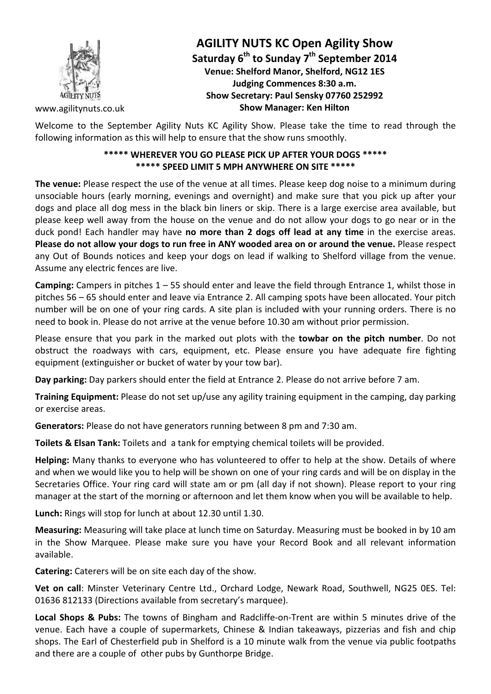

### **AGILITY NUTS KC Open Agility Show Saturday 6th to Sunday 7th September 2014 Venue: Shelford Manor, Shelford, NG12 1ES Judging Commences 8:30 a.m. Show Secretary: Paul Sensky 07760 252992 Show Manager: Ken Hilton**

www.agilitynuts.co.uk

Welcome to the September Agility Nuts KC Agility Show. Please take the time to read through the following information as this will help to ensure that the show runs smoothly.

#### **\*\*\*\*\* WHEREVER YOU GO PLEASE PICK UP AFTER YOUR DOGS \*\*\*\*\* \*\*\*\*\* SPEED LIMIT 5 MPH ANYWHERE ON SITE \*\*\*\*\***

**The venue:** Please respect the use of the venue at all times. Please keep dog noise to a minimum during unsociable hours (early morning, evenings and overnight) and make sure that you pick up after your dogs and place all dog mess in the black bin liners or skip. There is a large exercise area available, but please keep well away from the house on the venue and do not allow your dogs to go near or in the duck pond! Each handler may have **no more than 2 dogs off lead at any time** in the exercise areas. **Please do not allow your dogs to run free in ANY wooded area on or around the venue.** Please respect any Out of Bounds notices and keep your dogs on lead if walking to Shelford village from the venue. Assume any electric fences are live.

**Camping:** Campers in pitches 1 – 55 should enter and leave the field through Entrance 1, whilst those in pitches 56 – 65 should enter and leave via Entrance 2. All camping spots have been allocated. Your pitch number will be on one of your ring cards. A site plan is included with your running orders. There is no need to book in. Please do not arrive at the venue before 10.30 am without prior permission.

Please ensure that you park in the marked out plots with the **towbar on the pitch number**. Do not obstruct the roadways with cars, equipment, etc. Please ensure you have adequate fire fighting equipment (extinguisher or bucket of water by your tow bar).

**Day parking:** Day parkers should enter the field at Entrance 2. Please do not arrive before 7 am.

**Training Equipment:** Please do not set up/use any agility training equipment in the camping, day parking or exercise areas.

**Generators:** Please do not have generators running between 8 pm and 7:30 am.

**Toilets & Elsan Tank:** Toilets and a tank for emptying chemical toilets will be provided.

**Helping:** Many thanks to everyone who has volunteered to offer to help at the show. Details of where and when we would like you to help will be shown on one of your ring cards and will be on display in the Secretaries Office. Your ring card will state am or pm (all day if not shown). Please report to your ring manager at the start of the morning or afternoon and let them know when you will be available to help.

**Lunch:** Rings will stop for lunch at about 12.30 until 1.30.

**Measuring:** Measuring will take place at lunch time on Saturday. Measuring must be booked in by 10 am in the Show Marquee. Please make sure you have your Record Book and all relevant information available.

**Catering:** Caterers will be on site each day of the show.

**Vet on call**: Minster Veterinary Centre Ltd., Orchard Lodge, Newark Road, Southwell, NG25 0ES. Tel: 01636 812133 (Directions available from secretary's marquee).

**Local Shops & Pubs:** The towns of Bingham and Radcliffe-on-Trent are within 5 minutes drive of the venue. Each have a couple of supermarkets, Chinese & Indian takeaways, pizzerias and fish and chip shops. The Earl of Chesterfield pub in Shelford is a 10 minute walk from the venue via public footpaths and there are a couple of other pubs by Gunthorpe Bridge.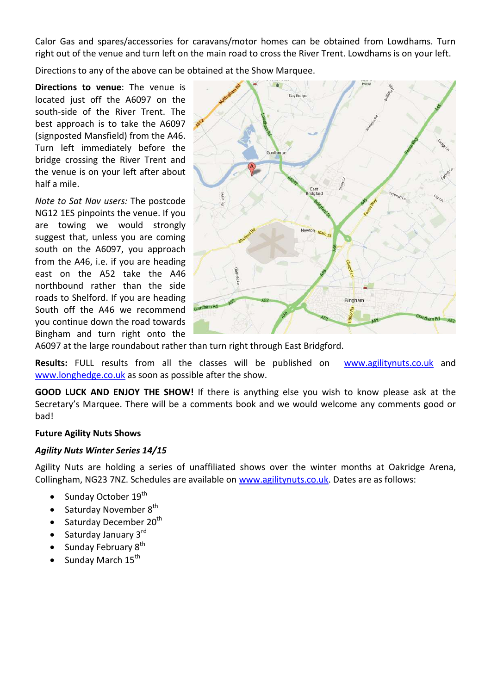Calor Gas and spares/accessories for caravans/motor homes can be obtained from Lowdhams. Turn right out of the venue and turn left on the main road to cross the River Trent. Lowdhams is on your left.

Directions to any of the above can be obtained at the Show Marquee.

**Directions to venue**: The venue is located just off the A6097 on the south-side of the River Trent. The best approach is to take the A6097 (signposted Mansfield) from the A46. Turn left immediately before the bridge crossing the River Trent and the venue is on your left after about half a mile.

*Note to Sat Nav users:* The postcode NG12 1ES pinpoints the venue. If you are towing we would strongly suggest that, unless you are coming south on the A6097, you approach from the A46, i.e. if you are heading east on the A52 take the A46 northbound rather than the side roads to Shelford. If you are heading South off the A46 we recommend you continue down the road towards Bingham and turn right onto the



A6097 at the large roundabout rather than turn right through East Bridgford.

**Results:** FULL results from all the classes will be published on www.agilitynuts.co.uk and www.longhedge.co.uk as soon as possible after the show.

**GOOD LUCK AND ENJOY THE SHOW!** If there is anything else you wish to know please ask at the Secretary's Marquee. There will be a comments book and we would welcome any comments good or bad!

#### **Future Agility Nuts Shows**

#### *Agility Nuts Winter Series 14/15*

Agility Nuts are holding a series of unaffiliated shows over the winter months at Oakridge Arena, Collingham, NG23 7NZ. Schedules are available on www.agilitynuts.co.uk. Dates are as follows:

- Sunday October 19<sup>th</sup>
- Saturday November 8<sup>th</sup>
- Saturday December  $20<sup>th</sup>$
- Saturday January 3<sup>rd</sup>
- Sunday February  $8^{th}$
- Sunday March  $15^{\text{th}}$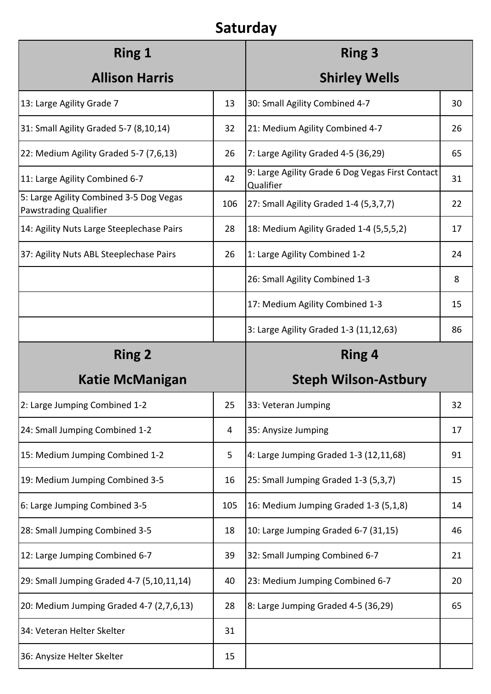## **Saturday**

| <b>Ring 1</b>                                                    |     | <b>Ring 3</b>                                                 |    |
|------------------------------------------------------------------|-----|---------------------------------------------------------------|----|
| <b>Allison Harris</b>                                            |     | <b>Shirley Wells</b>                                          |    |
| 13: Large Agility Grade 7                                        | 13  | 30: Small Agility Combined 4-7                                | 30 |
| 31: Small Agility Graded 5-7 (8,10,14)                           | 32  | 21: Medium Agility Combined 4-7                               | 26 |
| 22: Medium Agility Graded 5-7 (7,6,13)                           | 26  | 7: Large Agility Graded 4-5 (36,29)                           | 65 |
| 11: Large Agility Combined 6-7                                   | 42  | 9: Large Agility Grade 6 Dog Vegas First Contact<br>Qualifier | 31 |
| 5: Large Agility Combined 3-5 Dog Vegas<br>Pawstrading Qualifier | 106 | 27: Small Agility Graded 1-4 (5,3,7,7)                        | 22 |
| 14: Agility Nuts Large Steeplechase Pairs                        | 28  | 18: Medium Agility Graded 1-4 (5,5,5,2)                       | 17 |
| 37: Agility Nuts ABL Steeplechase Pairs                          | 26  | 1: Large Agility Combined 1-2                                 | 24 |
|                                                                  |     | 26: Small Agility Combined 1-3                                | 8  |
|                                                                  |     | 17: Medium Agility Combined 1-3                               | 15 |
|                                                                  |     | 3: Large Agility Graded 1-3 (11,12,63)                        | 86 |
| <b>Ring 2</b>                                                    |     | <b>Ring 4</b>                                                 |    |
| <b>Katie McManigan</b>                                           |     | <b>Steph Wilson-Astbury</b>                                   |    |
| 2: Large Jumping Combined 1-2                                    | 25  | 33: Veteran Jumping                                           | 32 |
| 24: Small Jumping Combined 1-2                                   | 4   | 35: Anysize Jumping                                           | 17 |
| 15: Medium Jumping Combined 1-2                                  | 5   | 4: Large Jumping Graded 1-3 (12,11,68)                        | 91 |
| 19: Medium Jumping Combined 3-5                                  | 16  | 25: Small Jumping Graded 1-3 (5,3,7)                          | 15 |
| 6: Large Jumping Combined 3-5                                    | 105 | 16: Medium Jumping Graded 1-3 (5,1,8)                         | 14 |
| 28: Small Jumping Combined 3-5                                   | 18  | 10: Large Jumping Graded 6-7 (31,15)                          | 46 |
| 12: Large Jumping Combined 6-7                                   | 39  | 32: Small Jumping Combined 6-7                                | 21 |
| 29: Small Jumping Graded 4-7 (5,10,11,14)                        | 40  | 23: Medium Jumping Combined 6-7                               | 20 |
| 20: Medium Jumping Graded 4-7 (2,7,6,13)                         | 28  | 8: Large Jumping Graded 4-5 (36,29)                           | 65 |
| 34: Veteran Helter Skelter                                       | 31  |                                                               |    |
| 36: Anysize Helter Skelter                                       | 15  |                                                               |    |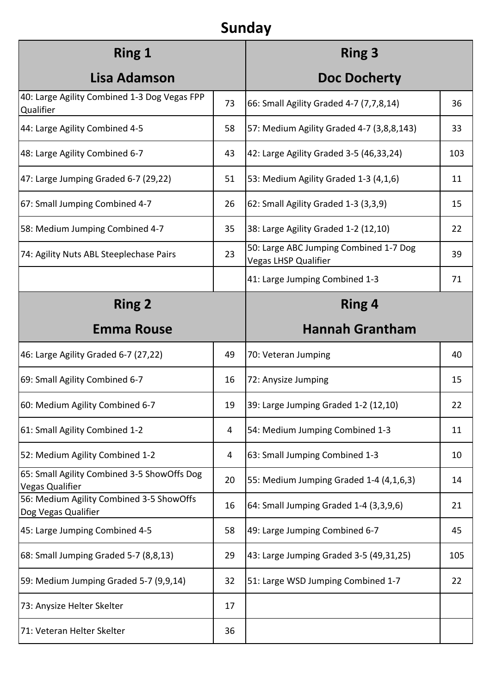# **Sunday**

| <b>Ring 1</b>                                                         |    | <b>Ring 3</b>                                                  |     |
|-----------------------------------------------------------------------|----|----------------------------------------------------------------|-----|
| Lisa Adamson                                                          |    | <b>Doc Docherty</b>                                            |     |
| 40: Large Agility Combined 1-3 Dog Vegas FPP<br>Qualifier             | 73 | 66: Small Agility Graded 4-7 (7,7,8,14)                        | 36  |
| 44: Large Agility Combined 4-5                                        | 58 | 57: Medium Agility Graded 4-7 (3,8,8,143)                      | 33  |
| 48: Large Agility Combined 6-7                                        | 43 | 42: Large Agility Graded 3-5 (46,33,24)                        | 103 |
| 47: Large Jumping Graded 6-7 (29,22)                                  | 51 | 53: Medium Agility Graded 1-3 (4,1,6)                          | 11  |
| 67: Small Jumping Combined 4-7                                        | 26 | 62: Small Agility Graded 1-3 (3,3,9)                           | 15  |
| 58: Medium Jumping Combined 4-7                                       | 35 | 38: Large Agility Graded 1-2 (12,10)                           | 22  |
| 74: Agility Nuts ABL Steeplechase Pairs                               | 23 | 50: Large ABC Jumping Combined 1-7 Dog<br>Vegas LHSP Qualifier | 39  |
|                                                                       |    | 41: Large Jumping Combined 1-3                                 | 71  |
| <b>Ring 2</b>                                                         |    | <b>Ring 4</b>                                                  |     |
| <b>Emma Rouse</b>                                                     |    | <b>Hannah Grantham</b>                                         |     |
| 46: Large Agility Graded 6-7 (27,22)                                  | 49 | 70: Veteran Jumping                                            | 40  |
| 69: Small Agility Combined 6-7                                        | 16 | 72: Anysize Jumping                                            | 15  |
| 60: Medium Agility Combined 6-7                                       | 19 | 39: Large Jumping Graded 1-2 (12,10)                           | 22  |
| 61: Small Agility Combined 1-2                                        | 4  | 54: Medium Jumping Combined 1-3                                | 11  |
| 52: Medium Agility Combined 1-2                                       | 4  | 63: Small Jumping Combined 1-3                                 | 10  |
| 65: Small Agility Combined 3-5 ShowOffs Dog<br><b>Vegas Qualifier</b> | 20 | 55: Medium Jumping Graded 1-4 (4,1,6,3)                        | 14  |
| 56: Medium Agility Combined 3-5 ShowOffs<br>Dog Vegas Qualifier       | 16 | 64: Small Jumping Graded 1-4 (3,3,9,6)                         | 21  |
| 45: Large Jumping Combined 4-5                                        | 58 | 49: Large Jumping Combined 6-7                                 | 45  |
| 68: Small Jumping Graded 5-7 (8,8,13)                                 | 29 | 43: Large Jumping Graded 3-5 (49,31,25)                        | 105 |
| 59: Medium Jumping Graded 5-7 (9,9,14)                                | 32 | 51: Large WSD Jumping Combined 1-7                             | 22  |
| 73: Anysize Helter Skelter                                            | 17 |                                                                |     |
|                                                                       |    |                                                                |     |